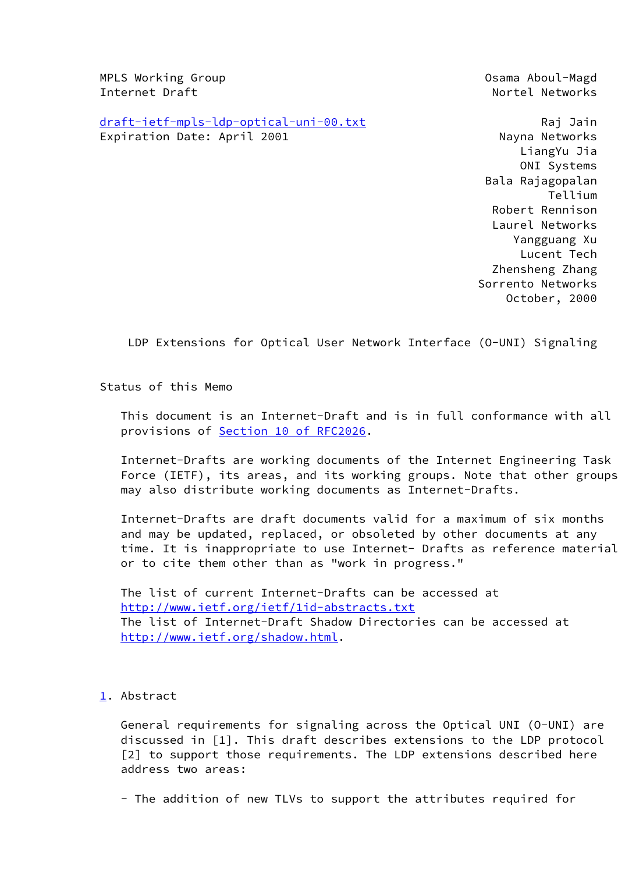MPLS Working Group **Osama Aboul-Magd Osama Aboul-Magd** Internet Draft Nortel Networks

[draft-ietf-mpls-ldp-optical-uni-00.txt](https://datatracker.ietf.org/doc/pdf/draft-ietf-mpls-ldp-optical-uni-00.txt) Raj Jain Expiration Date: April 2001 Nayna Networks

 LiangYu Jia ONI Systems Bala Rajagopalan Tellium Robert Rennison Laurel Networks Yangguang Xu Lucent Tech Zhensheng Zhang Sorrento Networks October, 2000

LDP Extensions for Optical User Network Interface (O-UNI) Signaling

Status of this Memo

 This document is an Internet-Draft and is in full conformance with all provisions of Section [10 of RFC2026.](https://datatracker.ietf.org/doc/pdf/rfc2026#section-10)

 Internet-Drafts are working documents of the Internet Engineering Task Force (IETF), its areas, and its working groups. Note that other groups may also distribute working documents as Internet-Drafts.

 Internet-Drafts are draft documents valid for a maximum of six months and may be updated, replaced, or obsoleted by other documents at any time. It is inappropriate to use Internet- Drafts as reference material or to cite them other than as "work in progress."

 The list of current Internet-Drafts can be accessed at <http://www.ietf.org/ietf/1id-abstracts.txt> The list of Internet-Draft Shadow Directories can be accessed at <http://www.ietf.org/shadow.html>.

<span id="page-0-0"></span>[1.](#page-0-0) Abstract

 General requirements for signaling across the Optical UNI (O-UNI) are discussed in [1]. This draft describes extensions to the LDP protocol [2] to support those requirements. The LDP extensions described here address two areas:

- The addition of new TLVs to support the attributes required for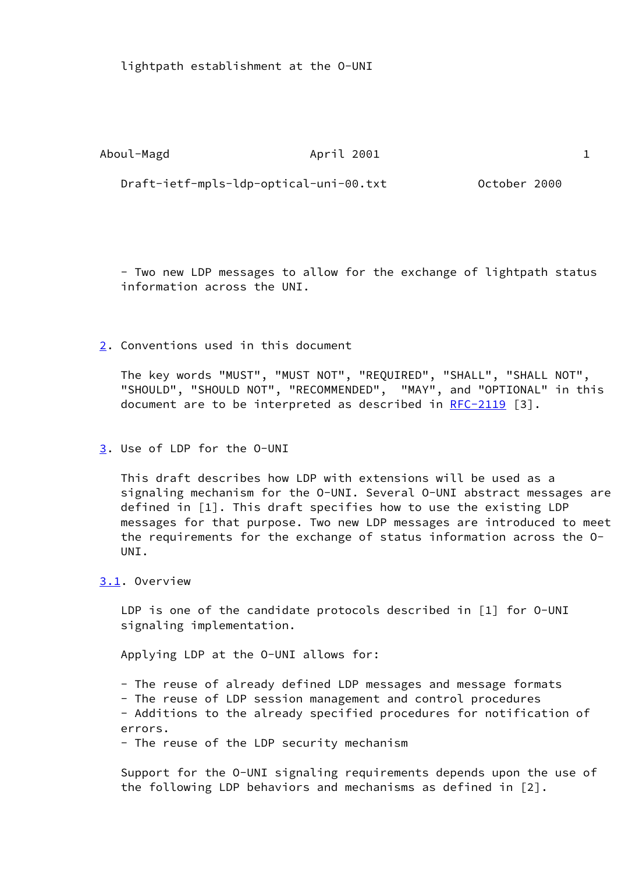lightpath establishment at the O-UNI

Aboul-Magd **April 2001** 1

Draft-ietf-mpls-ldp-optical-uni-00.txt October 2000

 - Two new LDP messages to allow for the exchange of lightpath status information across the UNI.

<span id="page-1-0"></span>[2.](#page-1-0) Conventions used in this document

 The key words "MUST", "MUST NOT", "REQUIRED", "SHALL", "SHALL NOT", "SHOULD", "SHOULD NOT", "RECOMMENDED", "MAY", and "OPTIONAL" in this document are to be interpreted as described in [RFC-2119](https://datatracker.ietf.org/doc/pdf/rfc2119) [3].

<span id="page-1-1"></span>[3.](#page-1-1) Use of LDP for the O-UNI

 This draft describes how LDP with extensions will be used as a signaling mechanism for the O-UNI. Several O-UNI abstract messages are defined in [1]. This draft specifies how to use the existing LDP messages for that purpose. Two new LDP messages are introduced to meet the requirements for the exchange of status information across the O- UNI.

<span id="page-1-2"></span>[3.1](#page-1-2). Overview

LDP is one of the candidate protocols described in [1] for 0-UNI signaling implementation.

Applying LDP at the O-UNI allows for:

- The reuse of already defined LDP messages and message formats

- The reuse of LDP session management and control procedures

 - Additions to the already specified procedures for notification of errors.

- The reuse of the LDP security mechanism

 Support for the O-UNI signaling requirements depends upon the use of the following LDP behaviors and mechanisms as defined in [2].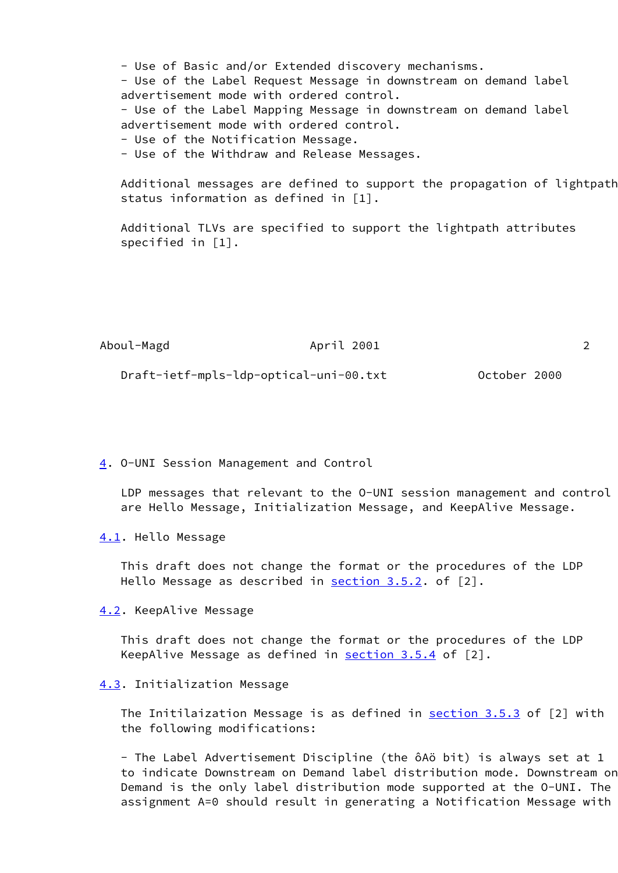- Use of Basic and/or Extended discovery mechanisms. - Use of the Label Request Message in downstream on demand label advertisement mode with ordered control. - Use of the Label Mapping Message in downstream on demand label advertisement mode with ordered control. - Use of the Notification Message. - Use of the Withdraw and Release Messages.

 Additional messages are defined to support the propagation of lightpath status information as defined in [1].

 Additional TLVs are specified to support the lightpath attributes specified in [1].

| Aboul-Magd | April 2001                             |              |
|------------|----------------------------------------|--------------|
|            | Draft-ietf-mpls-ldp-optical-uni-00.txt | October 2000 |

<span id="page-2-0"></span>[4.](#page-2-0) O-UNI Session Management and Control

 LDP messages that relevant to the O-UNI session management and control are Hello Message, Initialization Message, and KeepAlive Message.

<span id="page-2-1"></span>[4.1](#page-2-1). Hello Message

 This draft does not change the format or the procedures of the LDP Hello Message as described in section 3.5.2. of [2].

<span id="page-2-2"></span>[4.2](#page-2-2). KeepAlive Message

 This draft does not change the format or the procedures of the LDP KeepAlive Message as defined in section 3.5.4 of [2].

#### <span id="page-2-3"></span>[4.3](#page-2-3). Initialization Message

The Initilaization Message is as defined in section 3.5.3 of [2] with the following modifications:

 - The Label Advertisement Discipline (the ôAö bit) is always set at 1 to indicate Downstream on Demand label distribution mode. Downstream on Demand is the only label distribution mode supported at the O-UNI. The assignment A=0 should result in generating a Notification Message with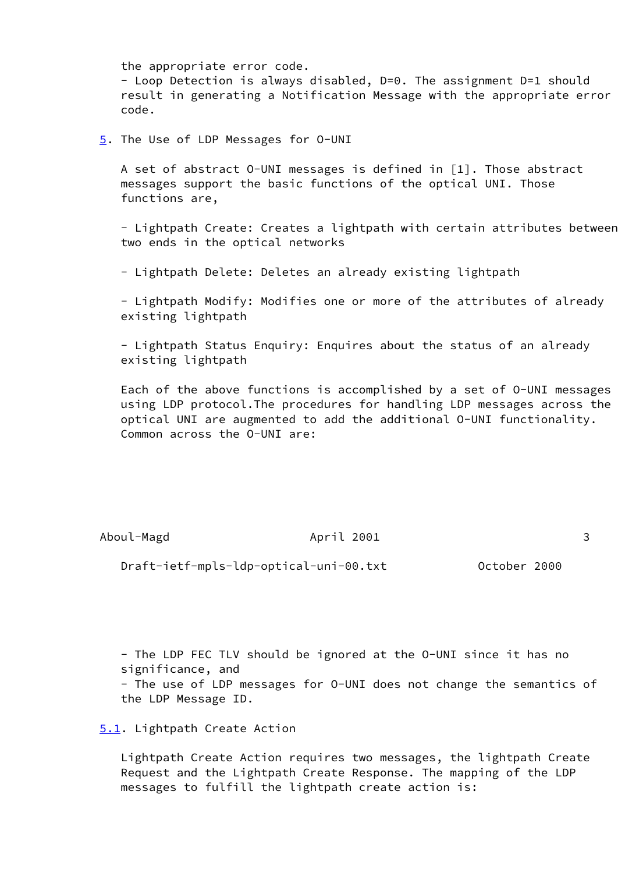the appropriate error code.

 - Loop Detection is always disabled, D=0. The assignment D=1 should result in generating a Notification Message with the appropriate error code.

<span id="page-3-0"></span>[5.](#page-3-0) The Use of LDP Messages for 0-UNI

 A set of abstract O-UNI messages is defined in [1]. Those abstract messages support the basic functions of the optical UNI. Those functions are,

 - Lightpath Create: Creates a lightpath with certain attributes between two ends in the optical networks

- Lightpath Delete: Deletes an already existing lightpath

 - Lightpath Modify: Modifies one or more of the attributes of already existing lightpath

 - Lightpath Status Enquiry: Enquires about the status of an already existing lightpath

 Each of the above functions is accomplished by a set of O-UNI messages using LDP protocol.The procedures for handling LDP messages across the optical UNI are augmented to add the additional O-UNI functionality. Common across the O-UNI are:

Aboul-Magd **April 2001** 3

Draft-ietf-mpls-ldp-optical-uni-00.txt October 2000

 - The LDP FEC TLV should be ignored at the O-UNI since it has no significance, and - The use of LDP messages for O-UNI does not change the semantics of the LDP Message ID.

<span id="page-3-1"></span>[5.1](#page-3-1). Lightpath Create Action

 Lightpath Create Action requires two messages, the lightpath Create Request and the Lightpath Create Response. The mapping of the LDP messages to fulfill the lightpath create action is: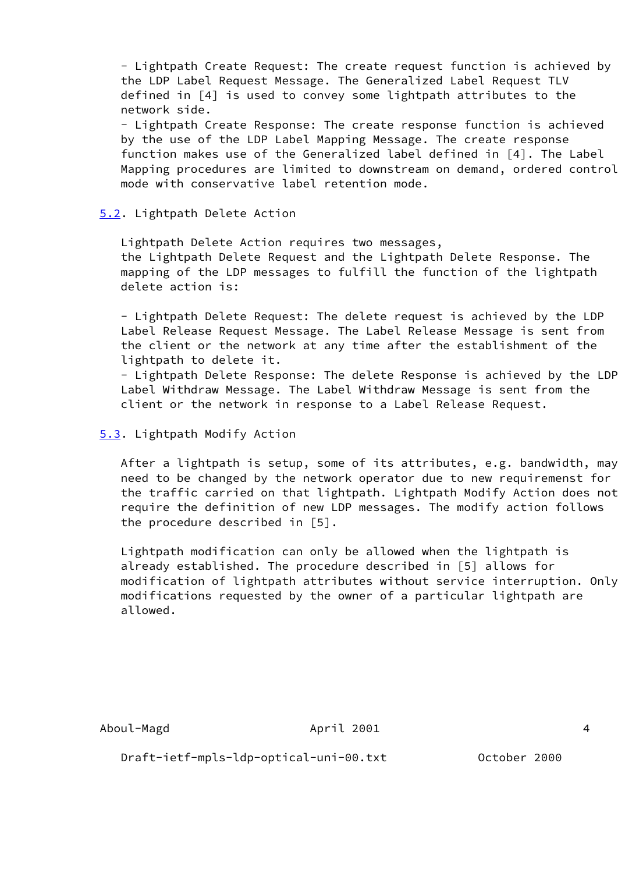- Lightpath Create Request: The create request function is achieved by the LDP Label Request Message. The Generalized Label Request TLV defined in [4] is used to convey some lightpath attributes to the network side.

 - Lightpath Create Response: The create response function is achieved by the use of the LDP Label Mapping Message. The create response function makes use of the Generalized label defined in [4]. The Label Mapping procedures are limited to downstream on demand, ordered control mode with conservative label retention mode.

## <span id="page-4-0"></span>[5.2](#page-4-0). Lightpath Delete Action

 Lightpath Delete Action requires two messages, the Lightpath Delete Request and the Lightpath Delete Response. The mapping of the LDP messages to fulfill the function of the lightpath delete action is:

 - Lightpath Delete Request: The delete request is achieved by the LDP Label Release Request Message. The Label Release Message is sent from the client or the network at any time after the establishment of the lightpath to delete it.

 - Lightpath Delete Response: The delete Response is achieved by the LDP Label Withdraw Message. The Label Withdraw Message is sent from the client or the network in response to a Label Release Request.

<span id="page-4-1"></span>[5.3](#page-4-1). Lightpath Modify Action

 After a lightpath is setup, some of its attributes, e.g. bandwidth, may need to be changed by the network operator due to new requiremenst for the traffic carried on that lightpath. Lightpath Modify Action does not require the definition of new LDP messages. The modify action follows the procedure described in [5].

 Lightpath modification can only be allowed when the lightpath is already established. The procedure described in [5] allows for modification of lightpath attributes without service interruption. Only modifications requested by the owner of a particular lightpath are allowed.

April 2001 4

Draft-ietf-mpls-ldp-optical-uni-00.txt October 2000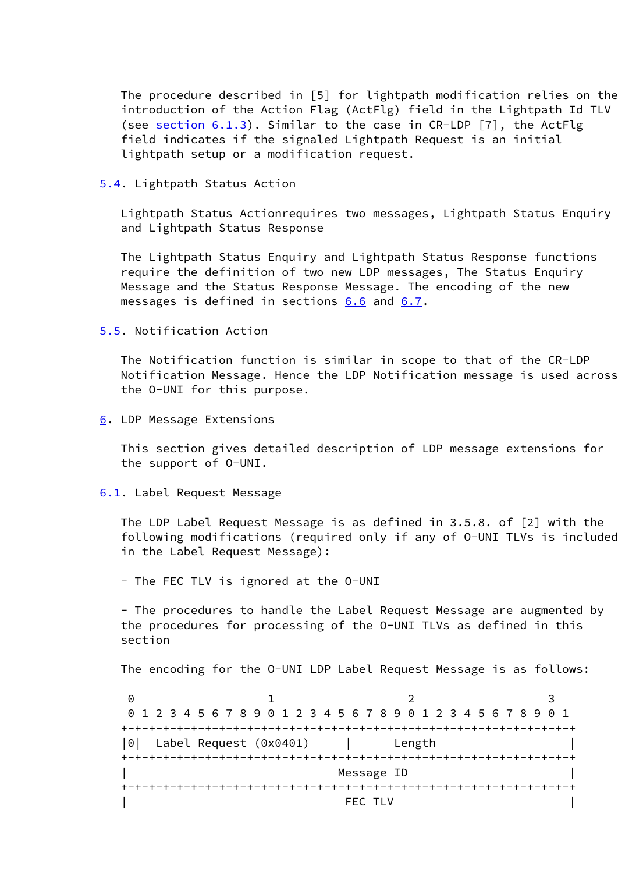The procedure described in [5] for lightpath modification relies on the introduction of the Action Flag (ActFlg) field in the Lightpath Id TLV (see [section 6.1.3\)](#page-8-0). Similar to the case in CR-LDP [7], the ActFlg field indicates if the signaled Lightpath Request is an initial lightpath setup or a modification request.

#### <span id="page-5-0"></span>[5.4](#page-5-0). Lightpath Status Action

 Lightpath Status Actionrequires two messages, Lightpath Status Enquiry and Lightpath Status Response

 The Lightpath Status Enquiry and Lightpath Status Response functions require the definition of two new LDP messages, The Status Enquiry Message and the Status Response Message. The encoding of the new messages is defined in sections [6.6](#page-16-0) and [6.7](#page-17-0).

## <span id="page-5-1"></span>[5.5](#page-5-1). Notification Action

 The Notification function is similar in scope to that of the CR-LDP Notification Message. Hence the LDP Notification message is used across the O-UNI for this purpose.

<span id="page-5-2"></span>[6.](#page-5-2) LDP Message Extensions

 This section gives detailed description of LDP message extensions for the support of O-UNI.

### <span id="page-5-3"></span>[6.1](#page-5-3). Label Request Message

 The LDP Label Request Message is as defined in 3.5.8. of [2] with the following modifications (required only if any of O-UNI TLVs is included in the Label Request Message):

- The FEC TLV is ignored at the O-UNI

 - The procedures to handle the Label Request Message are augmented by the procedures for processing of the O-UNI TLVs as defined in this section

The encoding for the O-UNI LDP Label Request Message is as follows:

 $0$  1 2 3 0 1 2 3 4 5 6 7 8 9 0 1 2 3 4 5 6 7 8 9 0 1 2 3 4 5 6 7 8 9 0 1 +-+-+-+-+-+-+-+-+-+-+-+-+-+-+-+-+-+-+-+-+-+-+-+-+-+-+-+-+-+-+-+-+ |0| Label Request (0x0401) | Length | +-+-+-+-+-+-+-+-+-+-+-+-+-+-+-+-+-+-+-+-+-+-+-+-+-+-+-+-+-+-+-+-+ Message ID +-+-+-+-+-+-+-+-+-+-+-+-+-+-+-+-+-+-+-+-+-+-+-+-+-+-+-+-+-+-+-+-+ | FEC TLV |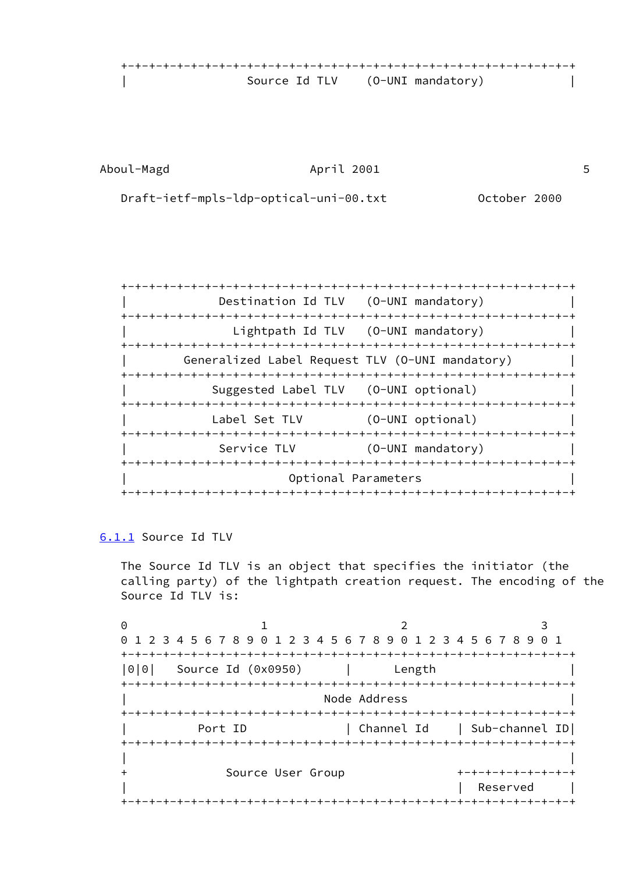+-+-+-+-+-+-+-+-+-+-+-+-+-+-+-+-+-+-+-+-+-+-+-+-+-+-+-+-+-+-+-+-+ | Source Id TLV (O-UNI mandatory) |

Aboul-Magd April 2001 5

Draft-ietf-mpls-ldp-optical-uni-00.txt October 2000

 +-+-+-+-+-+-+-+-+-+-+-+-+-+-+-+-+-+-+-+-+-+-+-+-+-+-+-+-+-+-+-+-+ Destination Id TLV (0-UNI mandatory) +-+-+-+-+-+-+-+-+-+-+-+-+-+-+-+-+-+-+-+-+-+-+-+-+-+-+-+-+-+-+-+-+ Lightpath Id TLV (0-UNI mandatory) +-+-+-+-+-+-+-+-+-+-+-+-+-+-+-+-+-+-+-+-+-+-+-+-+-+-+-+-+-+-+-+-+ | Generalized Label Request TLV (O-UNI mandatory) | +-+-+-+-+-+-+-+-+-+-+-+-+-+-+-+-+-+-+-+-+-+-+-+-+-+-+-+-+-+-+-+-+ | Suggested Label TLV (O-UNI optional) | +-+-+-+-+-+-+-+-+-+-+-+-+-+-+-+-+-+-+-+-+-+-+-+-+-+-+-+-+-+-+-+-+ Label Set TLV (0-UNI optional) +-+-+-+-+-+-+-+-+-+-+-+-+-+-+-+-+-+-+-+-+-+-+-+-+-+-+-+-+-+-+-+-+ Service TLV (0-UNI mandatory) +-+-+-+-+-+-+-+-+-+-+-+-+-+-+-+-+-+-+-+-+-+-+-+-+-+-+-+-+-+-+-+-+ | Optional Parameters | +-+-+-+-+-+-+-+-+-+-+-+-+-+-+-+-+-+-+-+-+-+-+-+-+-+-+-+-+-+-+-+-+

## <span id="page-6-0"></span>[6.1.1](#page-6-0) Source Id TLV

 The Source Id TLV is an object that specifies the initiator (the calling party) of the lightpath creation request. The encoding of the Source Id TLV is:

 $0$  1 2 3 0 1 2 3 4 5 6 7 8 9 0 1 2 3 4 5 6 7 8 9 0 1 2 3 4 5 6 7 8 9 0 1 +-+-+-+-+-+-+-+-+-+-+-+-+-+-+-+-+-+-+-+-+-+-+-+-+-+-+-+-+-+-+-+-+ |0|0| Source Id (0x0950) | Length | +-+-+-+-+-+-+-+-+-+-+-+-+-+-+-+-+-+-+-+-+-+-+-+-+-+-+-+-+-+-+-+-+ Node Address +-+-+-+-+-+-+-+-+-+-+-+-+-+-+-+-+-+-+-+-+-+-+-+-+-+-+-+-+-+-+-+-+ Port ID | Channel Id | Sub-channel ID +-+-+-+-+-+-+-+-+-+-+-+-+-+-+-+-+-+-+-+-+-+-+-+-+-+-+-+-+-+-+-+-+ | | + Source User Group +-+-+-+-+-+-+-+-+ Reserved +-+-+-+-+-+-+-+-+-+-+-+-+-+-+-+-+-+-+-+-+-+-+-+-+-+-+-+-+-+-+-+-+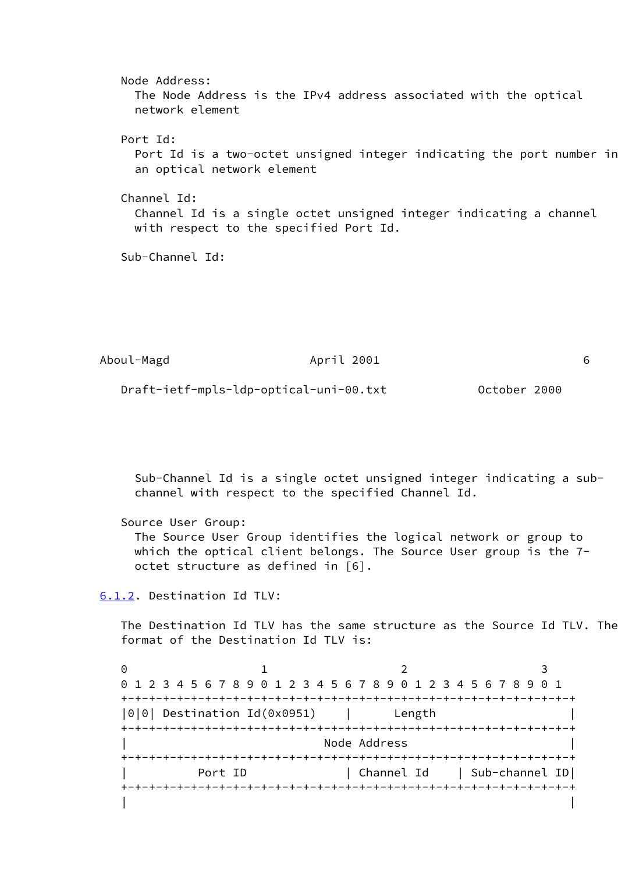Node Address: The Node Address is the IPv4 address associated with the optical network element Port Id: Port Id is a two-octet unsigned integer indicating the port number in an optical network element Channel Id: Channel Id is a single octet unsigned integer indicating a channel with respect to the specified Port Id. Sub-Channel Id:

| Aboul-Magd                             | April 2001 |              |  |
|----------------------------------------|------------|--------------|--|
| Draft-ietf-mpls-ldp-optical-uni-00.txt |            | October 2000 |  |

 Sub-Channel Id is a single octet unsigned integer indicating a sub channel with respect to the specified Channel Id.

 Source User Group: The Source User Group identifies the logical network or group to which the optical client belongs. The Source User group is the 7 octet structure as defined in [6].

<span id="page-7-0"></span>[6.1.2.](#page-7-0) Destination Id TLV:

 The Destination Id TLV has the same structure as the Source Id TLV. The format of the Destination Id TLV is:

 $0$  1 2 3 0 1 2 3 4 5 6 7 8 9 0 1 2 3 4 5 6 7 8 9 0 1 2 3 4 5 6 7 8 9 0 1 +-+-+-+-+-+-+-+-+-+-+-+-+-+-+-+-+-+-+-+-+-+-+-+-+-+-+-+-+-+-+-+-+ |0|0| Destination Id(0x0951) | Length | +-+-+-+-+-+-+-+-+-+-+-+-+-+-+-+-+-+-+-+-+-+-+-+-+-+-+-+-+-+-+-+-+ Node Address +-+-+-+-+-+-+-+-+-+-+-+-+-+-+-+-+-+-+-+-+-+-+-+-+-+-+-+-+-+-+-+-+ Port ID | Channel Id | Sub-channel ID| +-+-+-+-+-+-+-+-+-+-+-+-+-+-+-+-+-+-+-+-+-+-+-+-+-+-+-+-+-+-+-+-+ | |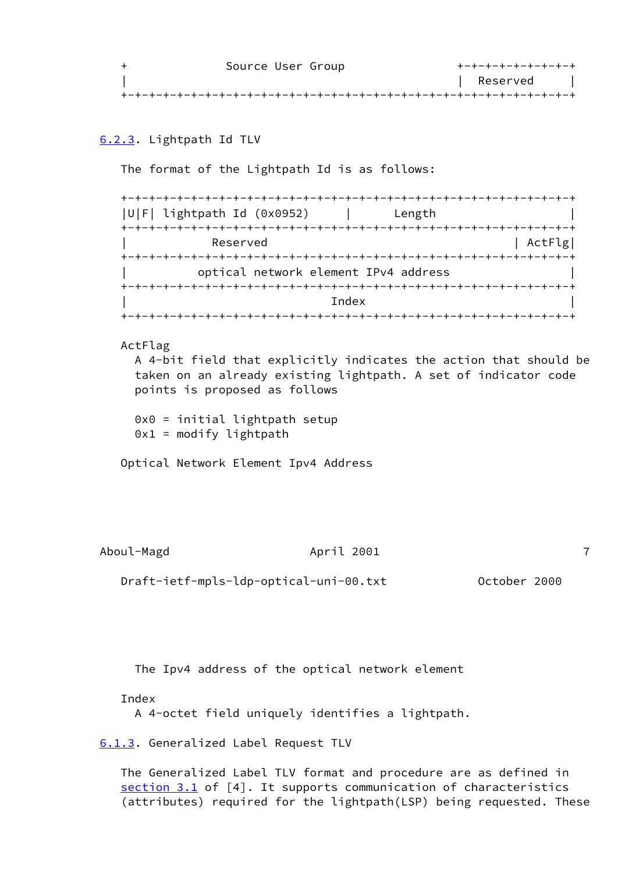| Source User Group | +-+-+-+-+-+-+-+-+ |
|-------------------|-------------------|
|                   | Reserved          |
|                   |                   |

# <span id="page-8-1"></span>[6.2.3.](#page-8-1) Lightpath Id TLV

The format of the Lightpath Id is as follows:

| U F  lightpath Id (0x0952) | Length                               |
|----------------------------|--------------------------------------|
|                            |                                      |
| Reserved                   | ActFlg                               |
|                            |                                      |
|                            | optical network element IPv4 address |
|                            |                                      |
|                            | Index                                |
|                            |                                      |

## ActFlag

 A 4-bit field that explicitly indicates the action that should be taken on an already existing lightpath. A set of indicator code points is proposed as follows

 0x0 = initial lightpath setup  $0x1 = \text{modify } \text{lightpath}$ 

Optical Network Element Ipv4 Address

Aboul-Magd **April 2001 7** 

Draft-ietf-mpls-ldp-optical-uni-00.txt October 2000

The Ipv4 address of the optical network element

Index

A 4-octet field uniquely identifies a lightpath.

<span id="page-8-0"></span>[6.1.3.](#page-8-0) Generalized Label Request TLV

 The Generalized Label TLV format and procedure are as defined in [section 3.1](#page-1-2) of [4]. It supports communication of characteristics (attributes) required for the lightpath(LSP) being requested. These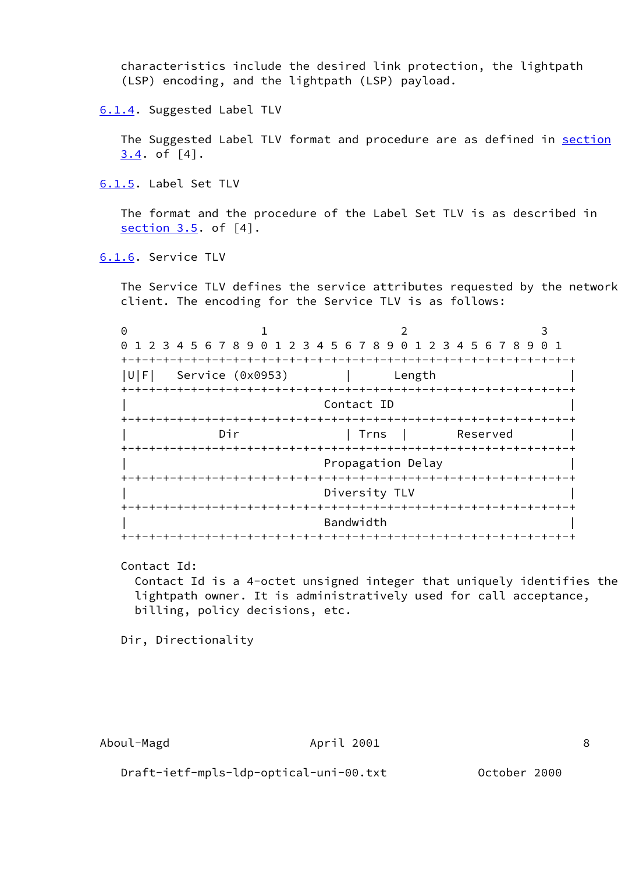characteristics include the desired link protection, the lightpath (LSP) encoding, and the lightpath (LSP) payload.

<span id="page-9-0"></span>[6.1.4.](#page-9-0) Suggested Label TLV

The Suggested Label TLV format and procedure are as defined in section 3.4. of [4].

<span id="page-9-1"></span>[6.1.5.](#page-9-1) Label Set TLV

 The format and the procedure of the Label Set TLV is as described in section 3.5. of [4].

<span id="page-9-2"></span>[6.1.6.](#page-9-2) Service TLV

 The Service TLV defines the service attributes requested by the network client. The encoding for the Service TLV is as follows:

| 0          |                                                               |     |  |  |                  |                    |          |  |  |                   |  |        |  |  |  |          |  |  |  |
|------------|---------------------------------------------------------------|-----|--|--|------------------|--------------------|----------|--|--|-------------------|--|--------|--|--|--|----------|--|--|--|
| 0          | 1 2 3 4 5 6 7 8 9 0 1 2 3 4 5 6 7 8 9 0 1 2 3 4 5 6 7 8 9 0 1 |     |  |  |                  |                    |          |  |  |                   |  |        |  |  |  |          |  |  |  |
|            |                                                               |     |  |  |                  |                    |          |  |  |                   |  |        |  |  |  |          |  |  |  |
| U F        | Service (0x0953)                                              |     |  |  |                  |                    |          |  |  |                   |  | Length |  |  |  |          |  |  |  |
|            |                                                               |     |  |  |                  | -+-+-+-+-+-+-+-+-+ |          |  |  |                   |  |        |  |  |  |          |  |  |  |
| Contact ID |                                                               |     |  |  |                  |                    |          |  |  |                   |  |        |  |  |  |          |  |  |  |
|            |                                                               |     |  |  | -+-+-+-+-+-+-+   |                    |          |  |  |                   |  |        |  |  |  |          |  |  |  |
|            |                                                               | Dir |  |  |                  |                    |          |  |  | Trns              |  |        |  |  |  | Reserved |  |  |  |
|            |                                                               |     |  |  |                  |                    |          |  |  | --+-+-+-+-+       |  |        |  |  |  |          |  |  |  |
|            |                                                               |     |  |  |                  |                    |          |  |  | Propagation Delay |  |        |  |  |  |          |  |  |  |
|            |                                                               |     |  |  | +-+-+-+-+-+-     |                    |          |  |  |                   |  |        |  |  |  |          |  |  |  |
|            |                                                               |     |  |  |                  |                    |          |  |  | Diversity TLV     |  |        |  |  |  |          |  |  |  |
|            |                                                               |     |  |  |                  |                    | -+-+-+-+ |  |  |                   |  |        |  |  |  |          |  |  |  |
|            |                                                               |     |  |  |                  |                    |          |  |  | Bandwidth         |  |        |  |  |  |          |  |  |  |
|            |                                                               |     |  |  | -+-+-+-+-+-+-+-+ |                    |          |  |  |                   |  |        |  |  |  |          |  |  |  |

Contact Id:

 Contact Id is a 4-octet unsigned integer that uniquely identifies the lightpath owner. It is administratively used for call acceptance, billing, policy decisions, etc.

Dir, Directionality

Draft-ietf-mpls-ldp-optical-uni-00.txt October 2000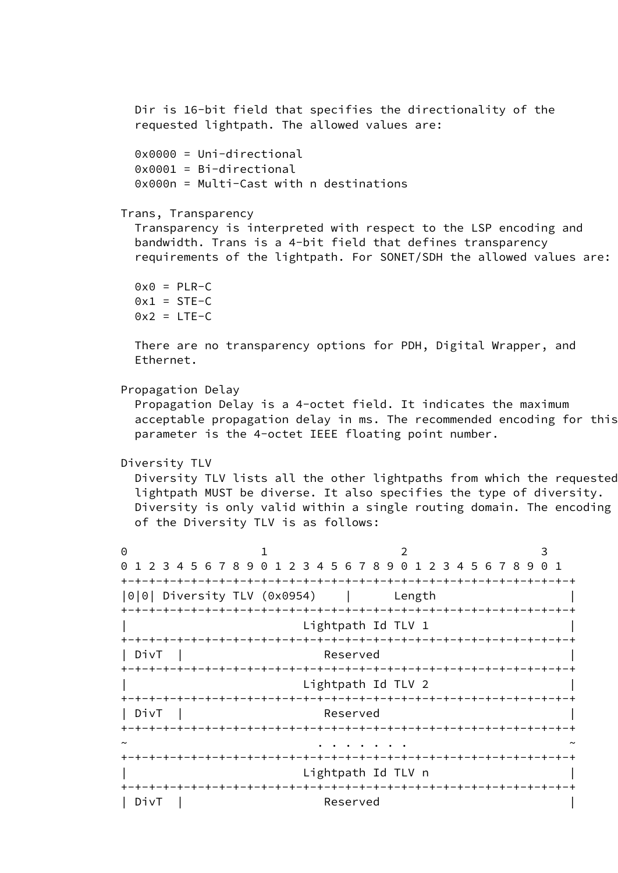```
 Dir is 16-bit field that specifies the directionality of the
          requested lightpath. The allowed values are:
          0x0000 = Uni-directional
          0x0001 = Bi-directional
          0x000n = Multi-Cast with n destinations
        Trans, Transparency
          Transparency is interpreted with respect to the LSP encoding and
          bandwidth. Trans is a 4-bit field that defines transparency
          requirements of the lightpath. For SONET/SDH the allowed values are:
         0x0 = PLR-C0x1 = STE-C0x2 = LTE-C There are no transparency options for PDH, Digital Wrapper, and
          Ethernet.
        Propagation Delay
          Propagation Delay is a 4-octet field. It indicates the maximum
          acceptable propagation delay in ms. The recommended encoding for this
          parameter is the 4-octet IEEE floating point number.
        Diversity TLV
          Diversity TLV lists all the other lightpaths from which the requested
          lightpath MUST be diverse. It also specifies the type of diversity.
         Diversity is only valid within a single routing domain. The encoding
          of the Diversity TLV is as follows:
0 1 2 3
        0 1 2 3 4 5 6 7 8 9 0 1 2 3 4 5 6 7 8 9 0 1 2 3 4 5 6 7 8 9 0 1
        +-+-+-+-+-+-+-+-+-+-+-+-+-+-+-+-+-+-+-+-+-+-+-+-+-+-+-+-+-+-+-+-+
        |0|0| Diversity TLV (0x0954) | Length |
        +-+-+-+-+-+-+-+-+-+-+-+-+-+-+-+-+-+-+-+-+-+-+-+-+-+-+-+-+-+-+-+-+
                               Lightpath Id TLV 1
        +-+-+-+-+-+-+-+-+-+-+-+-+-+-+-+-+-+-+-+-+-+-+-+-+-+-+-+-+-+-+-+-+
        | DivT | Reserved |
        +-+-+-+-+-+-+-+-+-+-+-+-+-+-+-+-+-+-+-+-+-+-+-+-+-+-+-+-+-+-+-+-+
                               Lightpath Id TLV 2
        +-+-+-+-+-+-+-+-+-+-+-+-+-+-+-+-+-+-+-+-+-+-+-+-+-+-+-+-+-+-+-+-+
 | DivT | Reserved |
        +-+-+-+-+-+-+-+-+-+-+-+-+-+-+-+-+-+-+-+-+-+-+-+-+-+-+-+-+-+-+-+-+
```
~ . . . . . . . ~

| DivT | Reserved |

+-+-+-+-+-+-+-+-+-+-+-+-+-+-+-+-+-+-+-+-+-+-+-+-+-+-+-+-+-+-+-+-+

+-+-+-+-+-+-+-+-+-+-+-+-+-+-+-+-+-+-+-+-+-+-+-+-+-+-+-+-+-+-+-+-+

Lightpath Id TLV n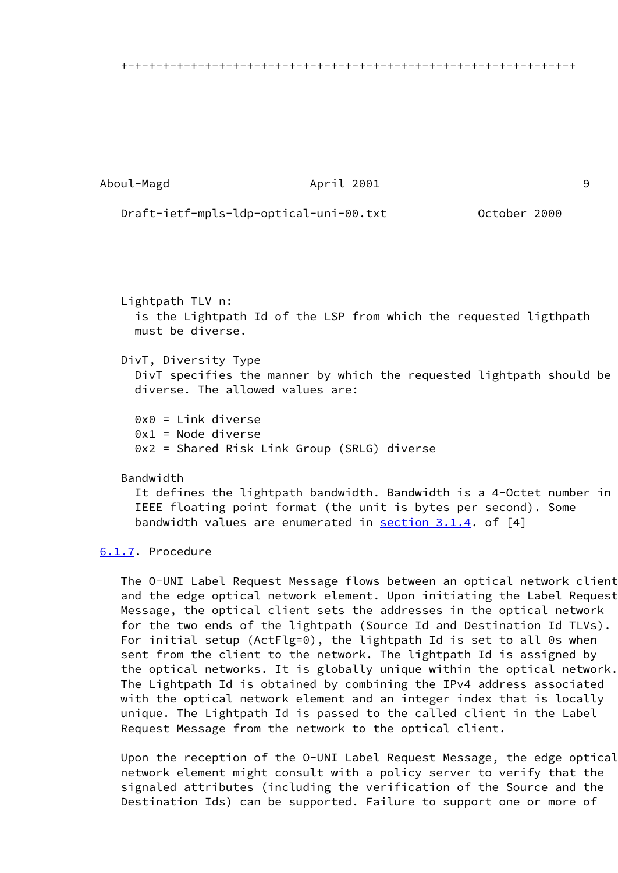+-+-+-+-+-+-+-+-+-+-+-+-+-+-+-+-+-+-+-+-+-+-+-+-+-+-+-+-+-+-+-+-+

Aboul-Magd **April 2001** 9

Draft-ietf-mpls-ldp-optical-uni-00.txt October 2000

 Lightpath TLV n: is the Lightpath Id of the LSP from which the requested ligthpath must be diverse.

# DivT, Diversity Type

 DivT specifies the manner by which the requested lightpath should be diverse. The allowed values are:

 0x0 = Link diverse 0x1 = Node diverse 0x2 = Shared Risk Link Group (SRLG) diverse

## Bandwidth

 It defines the lightpath bandwidth. Bandwidth is a 4-Octet number in IEEE floating point format (the unit is bytes per second). Some bandwidth values are enumerated in section 3.1.4. of [4]

## <span id="page-11-0"></span>[6.1.7.](#page-11-0) Procedure

 The O-UNI Label Request Message flows between an optical network client and the edge optical network element. Upon initiating the Label Request Message, the optical client sets the addresses in the optical network for the two ends of the lightpath (Source Id and Destination Id TLVs). For initial setup (ActFlg=0), the lightpath Id is set to all 0s when sent from the client to the network. The lightpath Id is assigned by the optical networks. It is globally unique within the optical network. The Lightpath Id is obtained by combining the IPv4 address associated with the optical network element and an integer index that is locally unique. The Lightpath Id is passed to the called client in the Label Request Message from the network to the optical client.

 Upon the reception of the O-UNI Label Request Message, the edge optical network element might consult with a policy server to verify that the signaled attributes (including the verification of the Source and the Destination Ids) can be supported. Failure to support one or more of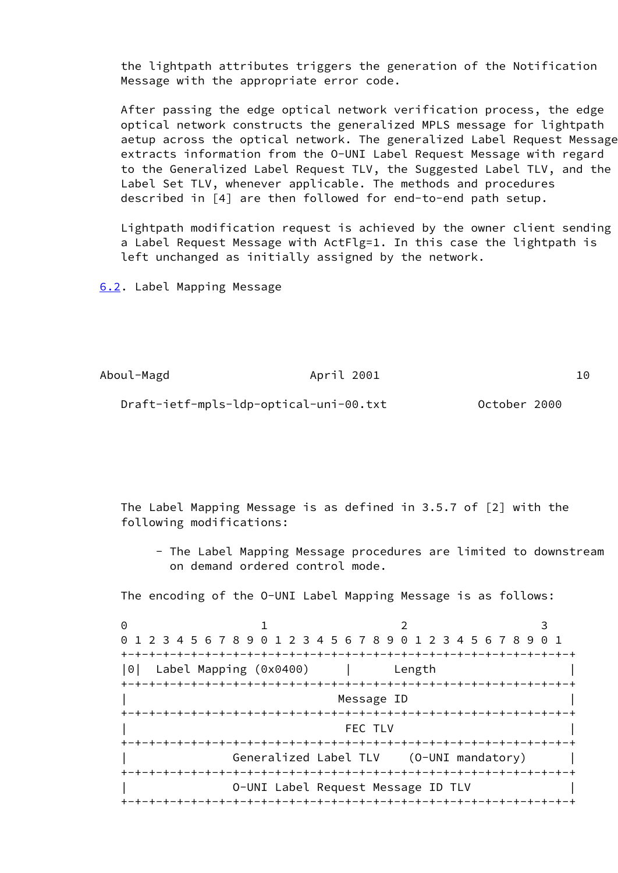the lightpath attributes triggers the generation of the Notification Message with the appropriate error code.

 After passing the edge optical network verification process, the edge optical network constructs the generalized MPLS message for lightpath aetup across the optical network. The generalized Label Request Message extracts information from the O-UNI Label Request Message with regard to the Generalized Label Request TLV, the Suggested Label TLV, and the Label Set TLV, whenever applicable. The methods and procedures described in [4] are then followed for end-to-end path setup.

 Lightpath modification request is achieved by the owner client sending a Label Request Message with ActFlg=1. In this case the lightpath is left unchanged as initially assigned by the network.

<span id="page-12-0"></span>[6.2](#page-12-0). Label Mapping Message

Aboul-Magd **April 2001** 10

Draft-ietf-mpls-ldp-optical-uni-00.txt October 2000

 The Label Mapping Message is as defined in 3.5.7 of [2] with the following modifications:

 - The Label Mapping Message procedures are limited to downstream on demand ordered control mode.

The encoding of the O-UNI Label Mapping Message is as follows:

 $0$  1 2 3 0 1 2 3 4 5 6 7 8 9 0 1 2 3 4 5 6 7 8 9 0 1 2 3 4 5 6 7 8 9 0 1 +-+-+-+-+-+-+-+-+-+-+-+-+-+-+-+-+-+-+-+-+-+-+-+-+-+-+-+-+-+-+-+-+ |0| Label Mapping (0x0400) | Length | +-+-+-+-+-+-+-+-+-+-+-+-+-+-+-+-+-+-+-+-+-+-+-+-+-+-+-+-+-+-+-+-+ Message ID +-+-+-+-+-+-+-+-+-+-+-+-+-+-+-+-+-+-+-+-+-+-+-+-+-+-+-+-+-+-+-+-+ | FEC TLV | +-+-+-+-+-+-+-+-+-+-+-+-+-+-+-+-+-+-+-+-+-+-+-+-+-+-+-+-+-+-+-+-+ | Generalized Label TLV (O-UNI mandatory) | +-+-+-+-+-+-+-+-+-+-+-+-+-+-+-+-+-+-+-+-+-+-+-+-+-+-+-+-+-+-+-+-+ | O-UNI Label Request Message ID TLV | +-+-+-+-+-+-+-+-+-+-+-+-+-+-+-+-+-+-+-+-+-+-+-+-+-+-+-+-+-+-+-+-+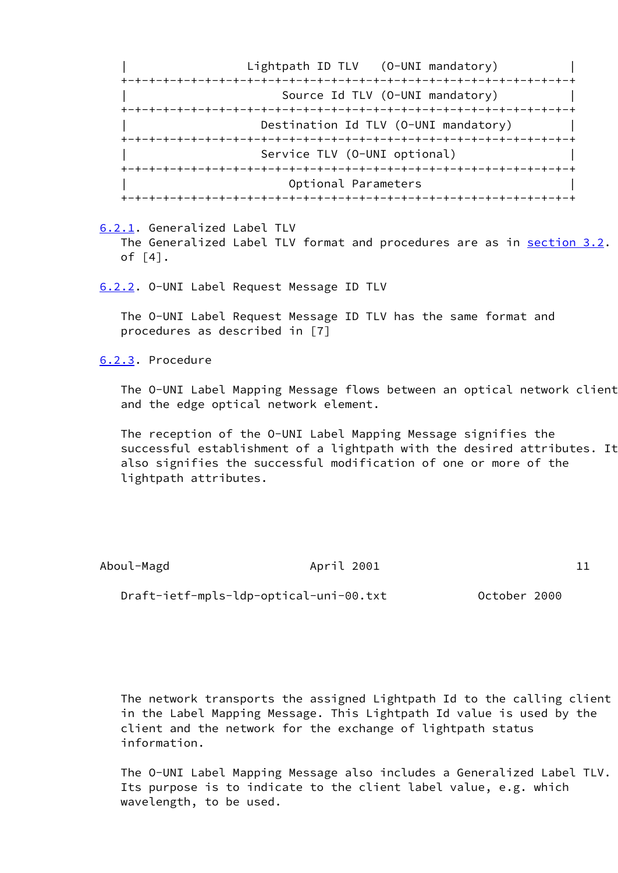Lightpath ID TLV (O-UNI mandatory) +-+-+-+-+-+-+-+-+-+-+-+-+-+-+-+-+-+-+-+-+-+-+-+-+-+-+-+-+-+-+-+-+ Source Id TLV (O-UNI mandatory) +-+-+-+-+-+-+-+-+-+-+-+-+-+-+-+-+-+-+-+-+-+-+-+-+-+-+-+-+-+-+-+-+ Destination Id TLV (O-UNI mandatory) +-+-+-+-+-+-+-+-+-+-+-+-+-+-+-+-+-+-+-+-+-+-+-+-+-+-+-+-+-+-+-+-+ Service TLV (O-UNI optional) +-+-+-+-+-+-+-+-+-+-+-+-+-+-+-+-+-+-+-+-+-+-+-+-+-+-+-+-+-+-+-+-+ Optional Parameters +-+-+-+-+-+-+-+-+-+-+-+-+-+-+-+-+-+-+-+-+-+-+-+-+-+-+-+-+-+-+-+-+

<span id="page-13-0"></span> [6.2.1.](#page-13-0) Generalized Label TLV The Generalized Label TLV format and procedures are as in section 3.2. of [4].

<span id="page-13-1"></span>[6.2.2.](#page-13-1) O-UNI Label Request Message ID TLV

 The O-UNI Label Request Message ID TLV has the same format and procedures as described in [7]

[6.2.3.](#page-8-1) Procedure

 The O-UNI Label Mapping Message flows between an optical network client and the edge optical network element.

 The reception of the O-UNI Label Mapping Message signifies the successful establishment of a lightpath with the desired attributes. It also signifies the successful modification of one or more of the lightpath attributes.

Aboul-Magd **April 2001** 11

Draft-ietf-mpls-ldp-optical-uni-00.txt October 2000

 The network transports the assigned Lightpath Id to the calling client in the Label Mapping Message. This Lightpath Id value is used by the client and the network for the exchange of lightpath status information.

 The O-UNI Label Mapping Message also includes a Generalized Label TLV. Its purpose is to indicate to the client label value, e.g. which wavelength, to be used.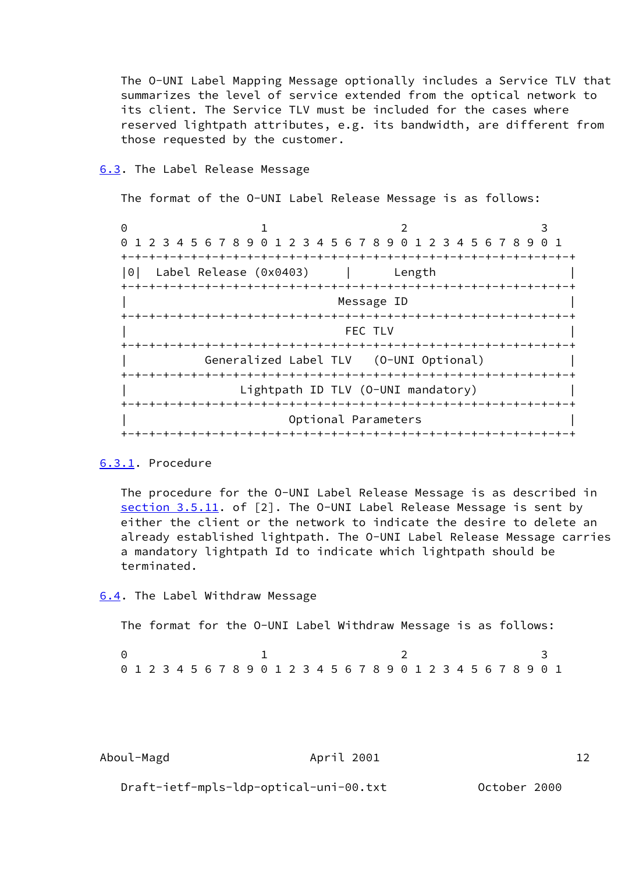The O-UNI Label Mapping Message optionally includes a Service TLV that summarizes the level of service extended from the optical network to its client. The Service TLV must be included for the cases where reserved lightpath attributes, e.g. its bandwidth, are different from those requested by the customer.

## <span id="page-14-0"></span>[6.3](#page-14-0). The Label Release Message

The format of the O-UNI Label Release Message is as follows:

 $0$  1 2 3 0 1 2 3 4 5 6 7 8 9 0 1 2 3 4 5 6 7 8 9 0 1 2 3 4 5 6 7 8 9 0 1 +-+-+-+-+-+-+-+-+-+-+-+-+-+-+-+-+-+-+-+-+-+-+-+-+-+-+-+-+-+-+-+-+ |0| Label Release (0x0403) | Length | +-+-+-+-+-+-+-+-+-+-+-+-+-+-+-+-+-+-+-+-+-+-+-+-+-+-+-+-+-+-+-+-+ Message ID +-+-+-+-+-+-+-+-+-+-+-+-+-+-+-+-+-+-+-+-+-+-+-+-+-+-+-+-+-+-+-+-+ | FEC TLV | +-+-+-+-+-+-+-+-+-+-+-+-+-+-+-+-+-+-+-+-+-+-+-+-+-+-+-+-+-+-+-+-+ | Generalized Label TLV (O-UNI Optional) | +-+-+-+-+-+-+-+-+-+-+-+-+-+-+-+-+-+-+-+-+-+-+-+-+-+-+-+-+-+-+-+-+ Lightpath ID TLV (O-UNI mandatory) +-+-+-+-+-+-+-+-+-+-+-+-+-+-+-+-+-+-+-+-+-+-+-+-+-+-+-+-+-+-+-+-+ Optional Parameters +-+-+-+-+-+-+-+-+-+-+-+-+-+-+-+-+-+-+-+-+-+-+-+-+-+-+-+-+-+-+-+-+

## <span id="page-14-1"></span>[6.3.1.](#page-14-1) Procedure

 The procedure for the O-UNI Label Release Message is as described in section 3.5.11. of [2]. The 0-UNI Label Release Message is sent by either the client or the network to indicate the desire to delete an already established lightpath. The O-UNI Label Release Message carries a mandatory lightpath Id to indicate which lightpath should be terminated.

#### <span id="page-14-2"></span>[6.4](#page-14-2). The Label Withdraw Message

The format for the O-UNI Label Withdraw Message is as follows:

|  | 0 1 2 3 4 5 6 7 8 9 0 1 2 3 4 5 6 7 8 9 0 1 2 3 4 5 6 7 8 9 0 1 |  |  |  |  |  |  |  |  |  |  |  |  |  |  |  |
|--|-----------------------------------------------------------------|--|--|--|--|--|--|--|--|--|--|--|--|--|--|--|

Aboul-Magd April 2001 12

Draft-ietf-mpls-ldp-optical-uni-00.txt October 2000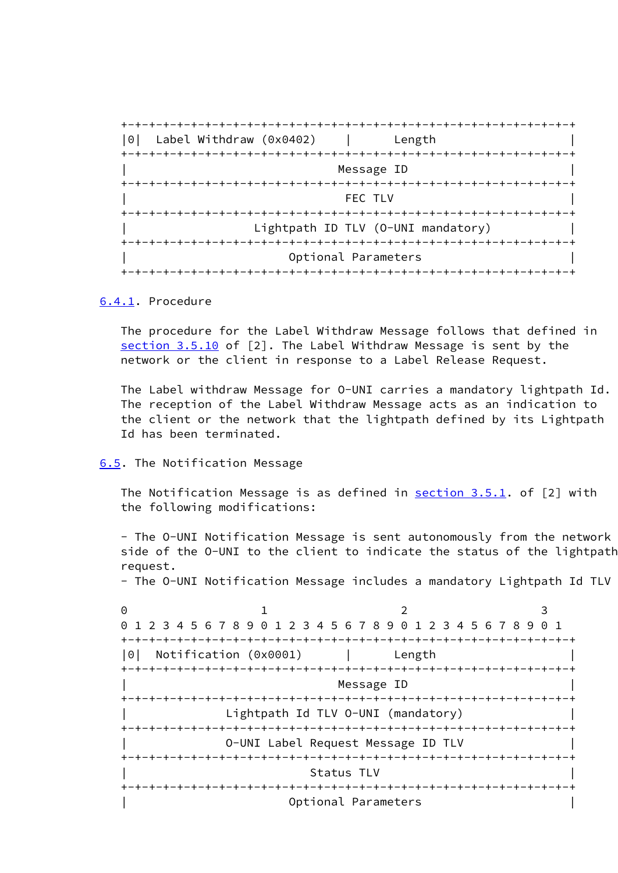

## <span id="page-15-0"></span>[6.4.1.](#page-15-0) Procedure

 The procedure for the Label Withdraw Message follows that defined in section 3.5.10 of [2]. The Label Withdraw Message is sent by the network or the client in response to a Label Release Request.

 The Label withdraw Message for O-UNI carries a mandatory lightpath Id. The reception of the Label Withdraw Message acts as an indication to the client or the network that the lightpath defined by its Lightpath Id has been terminated.

#### <span id="page-15-1"></span>[6.5](#page-15-1). The Notification Message

The Notification Message is as defined in section 3.5.1. of [2] with the following modifications:

 - The O-UNI Notification Message is sent autonomously from the network side of the O-UNI to the client to indicate the status of the lightpath request.

- The O-UNI Notification Message includes a mandatory Lightpath Id TLV

 $0$  1 2 3 0 1 2 3 4 5 6 7 8 9 0 1 2 3 4 5 6 7 8 9 0 1 2 3 4 5 6 7 8 9 0 1 +-+-+-+-+-+-+-+-+-+-+-+-+-+-+-+-+-+-+-+-+-+-+-+-+-+-+-+-+-+-+-+-+ |0| Notification (0x0001) | Length | +-+-+-+-+-+-+-+-+-+-+-+-+-+-+-+-+-+-+-+-+-+-+-+-+-+-+-+-+-+-+-+-+ Message ID +-+-+-+-+-+-+-+-+-+-+-+-+-+-+-+-+-+-+-+-+-+-+-+-+-+-+-+-+-+-+-+-+ Lightpath Id TLV 0-UNI (mandatory) +-+-+-+-+-+-+-+-+-+-+-+-+-+-+-+-+-+-+-+-+-+-+-+-+-+-+-+-+-+-+-+-+ | O-UNI Label Request Message ID TLV | +-+-+-+-+-+-+-+-+-+-+-+-+-+-+-+-+-+-+-+-+-+-+-+-+-+-+-+-+-+-+-+-+ Status TLV +-+-+-+-+-+-+-+-+-+-+-+-+-+-+-+-+-+-+-+-+-+-+-+-+-+-+-+-+-+-+-+-+ | Optional Parameters |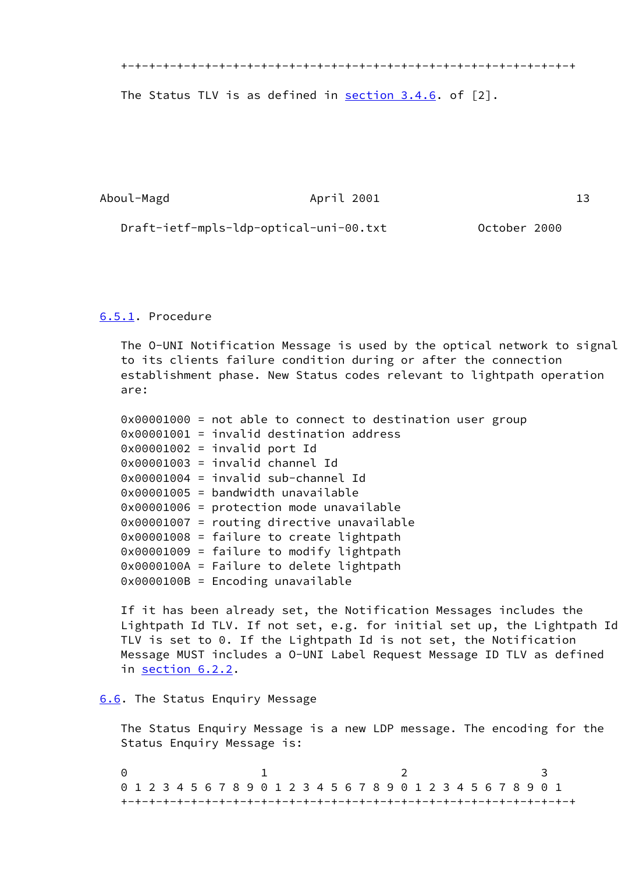+-+-+-+-+-+-+-+-+-+-+-+-+-+-+-+-+-+-+-+-+-+-+-+-+-+-+-+-+-+-+-+-+

The Status TLV is as defined in  $section\ 3.4.6$ . of  $[2]$ .

Aboul-Magd **April 2001** 13

Draft-ietf-mpls-ldp-optical-uni-00.txt October 2000

#### <span id="page-16-1"></span>[6.5.1.](#page-16-1) Procedure

 The O-UNI Notification Message is used by the optical network to signal to its clients failure condition during or after the connection establishment phase. New Status codes relevant to lightpath operation are:

 0x00001000 = not able to connect to destination user group 0x00001001 = invalid destination address 0x00001002 = invalid port Id 0x00001003 = invalid channel Id 0x00001004 = invalid sub-channel Id 0x00001005 = bandwidth unavailable 0x00001006 = protection mode unavailable 0x00001007 = routing directive unavailable 0x00001008 = failure to create lightpath 0x00001009 = failure to modify lightpath 0x0000100A = Failure to delete lightpath 0x0000100B = Encoding unavailable

 If it has been already set, the Notification Messages includes the Lightpath Id TLV. If not set, e.g. for initial set up, the Lightpath Id TLV is set to 0. If the Lightpath Id is not set, the Notification Message MUST includes a O-UNI Label Request Message ID TLV as defined in [section 6.2.2](#page-13-1).

## <span id="page-16-0"></span>[6.6](#page-16-0). The Status Enquiry Message

 The Status Enquiry Message is a new LDP message. The encoding for the Status Enquiry Message is:

 $0$  1 2 3 0 1 2 3 4 5 6 7 8 9 0 1 2 3 4 5 6 7 8 9 0 1 2 3 4 5 6 7 8 9 0 1 +-+-+-+-+-+-+-+-+-+-+-+-+-+-+-+-+-+-+-+-+-+-+-+-+-+-+-+-+-+-+-+-+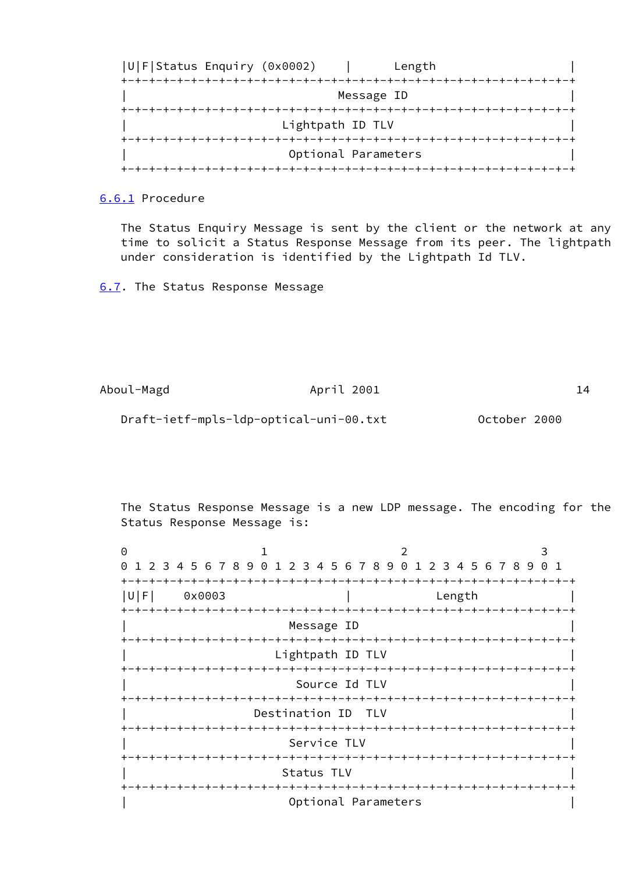

<span id="page-17-1"></span>[6.6.1](#page-17-1) Procedure

 The Status Enquiry Message is sent by the client or the network at any time to solicit a Status Response Message from its peer. The lightpath under consideration is identified by the Lightpath Id TLV.

<span id="page-17-0"></span>[6.7](#page-17-0). The Status Response Message

Aboul-Magd **April 2001** 14 Draft-ietf-mpls-ldp-optical-uni-00.txt October 2000

 The Status Response Message is a new LDP message. The encoding for the Status Response Message is:

| 0                                            |                                                               |                    |                     |  | $\mathcal{P}$ |                      |        |  |  |  |  |  |  |  |
|----------------------------------------------|---------------------------------------------------------------|--------------------|---------------------|--|---------------|----------------------|--------|--|--|--|--|--|--|--|
| $\Theta$                                     | 1 2 3 4 5 6 7 8 9 0 1 2 3 4 5 6 7 8 9 0 1 2 3 4 5 6 7 8 9 0 1 |                    |                     |  |               |                      |        |  |  |  |  |  |  |  |
| U F                                          | 0x0003                                                        |                    |                     |  |               |                      | Length |  |  |  |  |  |  |  |
| Message ID                                   |                                                               |                    |                     |  |               |                      |        |  |  |  |  |  |  |  |
| -+-+-+-+-+-+<br>Lightpath ID TLV             |                                                               |                    |                     |  |               |                      |        |  |  |  |  |  |  |  |
| -+-+-+-+-+-+-+-+-+-+-+-+-+-<br>Source Id TLV |                                                               |                    |                     |  |               |                      |        |  |  |  |  |  |  |  |
|                                              | -+-+-+-+-+-+-+-+-+-+-+-+-+-+-+-+                              | Destination ID TLV |                     |  |               | -+-+-+-+-+-+-+-+-+-+ |        |  |  |  |  |  |  |  |
|                                              |                                                               |                    | Service TLV         |  |               |                      |        |  |  |  |  |  |  |  |
|                                              |                                                               | Status TLV         |                     |  |               |                      |        |  |  |  |  |  |  |  |
|                                              |                                                               |                    | Optional Parameters |  |               |                      |        |  |  |  |  |  |  |  |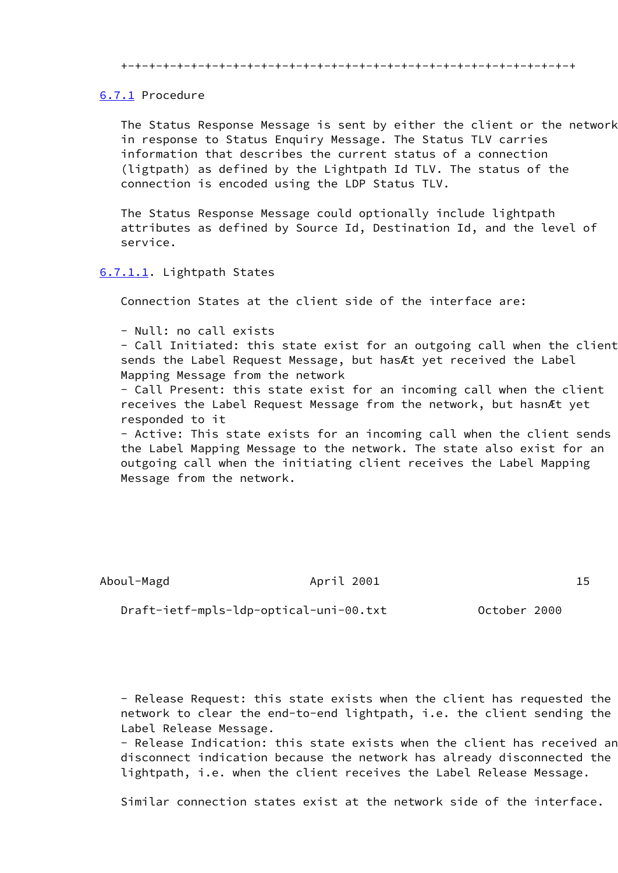+-+-+-+-+-+-+-+-+-+-+-+-+-+-+-+-+-+-+-+-+-+-+-+-+-+-+-+-+-+-+-+-+

## <span id="page-18-0"></span>[6.7.1](#page-18-0) Procedure

 The Status Response Message is sent by either the client or the network in response to Status Enquiry Message. The Status TLV carries information that describes the current status of a connection (ligtpath) as defined by the Lightpath Id TLV. The status of the connection is encoded using the LDP Status TLV.

 The Status Response Message could optionally include lightpath attributes as defined by Source Id, Destination Id, and the level of service.

## <span id="page-18-1"></span>[6.7.1.1](#page-18-1). Lightpath States

Connection States at the client side of the interface are:

- Null: no call exists

 - Call Initiated: this state exist for an outgoing call when the client sends the Label Request Message, but hasÆt yet received the Label Mapping Message from the network

 - Call Present: this state exist for an incoming call when the client receives the Label Request Message from the network, but hasnÆt yet responded to it

 - Active: This state exists for an incoming call when the client sends the Label Mapping Message to the network. The state also exist for an outgoing call when the initiating client receives the Label Mapping Message from the network.

# Aboul-Magd **April 2001** 15

Draft-ietf-mpls-ldp-optical-uni-00.txt October 2000

 - Release Request: this state exists when the client has requested the network to clear the end-to-end lightpath, i.e. the client sending the Label Release Message.

 - Release Indication: this state exists when the client has received an disconnect indication because the network has already disconnected the lightpath, i.e. when the client receives the Label Release Message.

Similar connection states exist at the network side of the interface.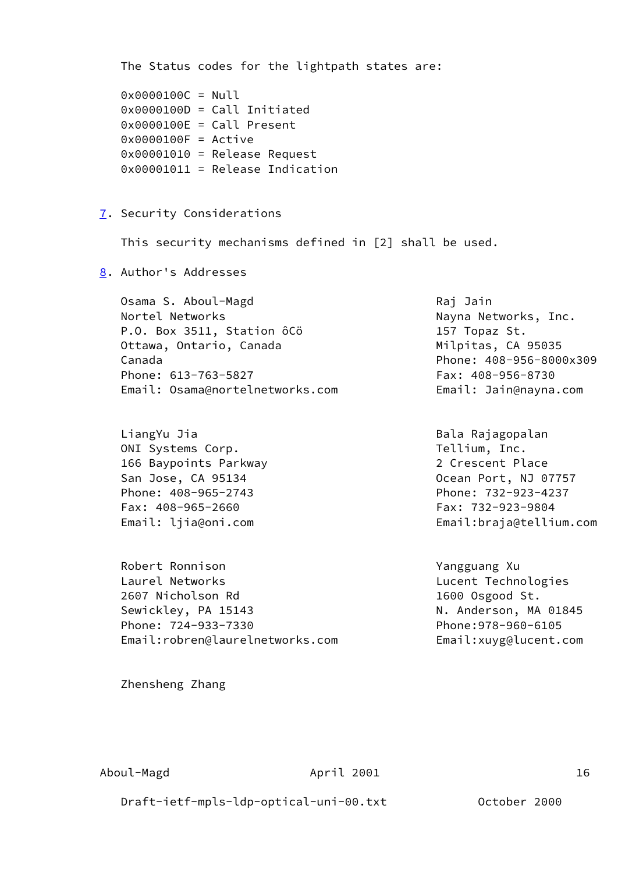<span id="page-19-1"></span><span id="page-19-0"></span> The Status codes for the lightpath states are: 0x0000100C = Null 0x0000100D = Call Initiated 0x0000100E = Call Present 0x0000100F = Active  $0x00001010 =$ Release Request 0x00001011 = Release Indication [7.](#page-19-0) Security Considerations This security mechanisms defined in [2] shall be used. [8.](#page-19-1) Author's Addresses Osama S. Aboul-Magd Raj Jain Nortel Networks **Nayna Networks**, Inc. P.O. Box 3511, Station ôCö 157 Topaz St. Ottawa, Ontario, Canada Milpitas, CA 95035 Canada Phone: 408-956-8000x309 Phone: 613-763-5827 Fax: 408-956-8730 Email: Osama@nortelnetworks.com Email: Jain@nayna.com LiangYu Jia **Bala Rajagopalan** ONI Systems Corp. Tellium, Inc. 166 Baypoints Parkway 2 Crescent Place San Jose, CA 95134 **Department Controller San Port, NJ 07757**  Phone: 408-965-2743 Phone: 732-923-4237 Fax: 408-965-2660 Fax: 732-923-9804 Email: ljia@oni.com Email:braja@tellium.com Robert Ronnison **Yangguang Xu**  Laurel Networks Lucent Technologies 2607 Nicholson Rd 1600 Osgood St. Sewickley, PA 15143 N. Anderson, MA 01845 Phone: 724-933-7330 Phone:978-960-6105 Email:robren@laurelnetworks.com Email:xuyg@lucent.com Zhensheng Zhang

Draft-ietf-mpls-ldp-optical-uni-00.txt October 2000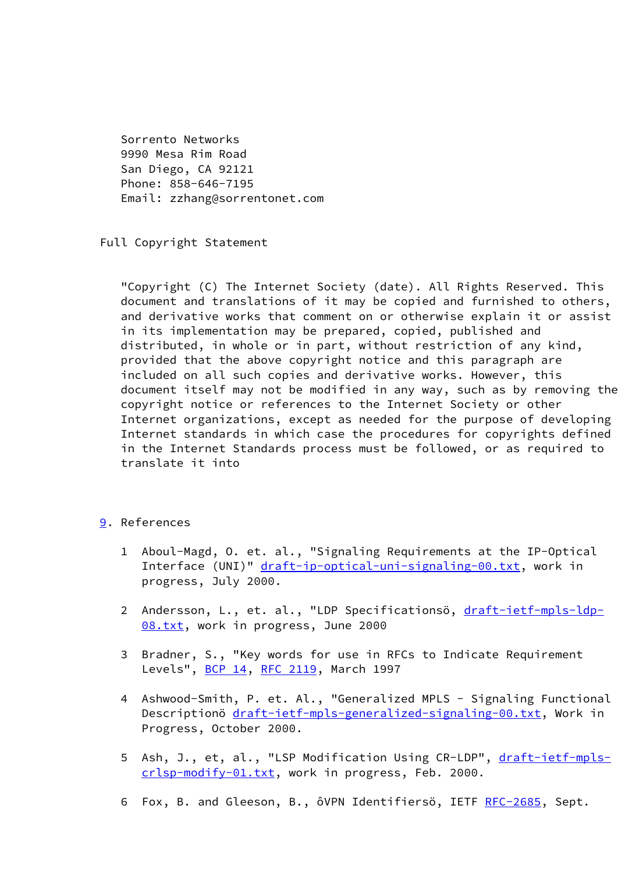Sorrento Networks 9990 Mesa Rim Road San Diego, CA 92121 Phone: 858-646-7195 Email: zzhang@sorrentonet.com

Full Copyright Statement

 "Copyright (C) The Internet Society (date). All Rights Reserved. This document and translations of it may be copied and furnished to others, and derivative works that comment on or otherwise explain it or assist in its implementation may be prepared, copied, published and distributed, in whole or in part, without restriction of any kind, provided that the above copyright notice and this paragraph are included on all such copies and derivative works. However, this document itself may not be modified in any way, such as by removing the copyright notice or references to the Internet Society or other Internet organizations, except as needed for the purpose of developing Internet standards in which case the procedures for copyrights defined in the Internet Standards process must be followed, or as required to translate it into

## <span id="page-20-0"></span>[9.](#page-20-0) References

- 1 Aboul-Magd, O. et. al., "Signaling Requirements at the IP-Optical Interface (UNI)" [draft-ip-optical-uni-signaling-00.txt](https://datatracker.ietf.org/doc/pdf/draft-ip-optical-uni-signaling-00.txt), work in progress, July 2000.
- 2 Andersson, L., et. al., "LDP Specificationsö, [draft-ietf-mpls-ldp-](https://datatracker.ietf.org/doc/pdf/draft-ietf-mpls-ldp-08.txt) [08.txt](https://datatracker.ietf.org/doc/pdf/draft-ietf-mpls-ldp-08.txt), work in progress, June 2000
- 3 Bradner, S., "Key words for use in RFCs to Indicate Requirement Levels", [BCP 14](https://datatracker.ietf.org/doc/pdf/bcp14), [RFC 2119](https://datatracker.ietf.org/doc/pdf/rfc2119), March 1997
- 4 Ashwood-Smith, P. et. Al., "Generalized MPLS Signaling Functional Descriptionö [draft-ietf-mpls-generalized-signaling-00.txt](https://datatracker.ietf.org/doc/pdf/draft-ietf-mpls-generalized-signaling-00.txt), Work in Progress, October 2000.
- 5 Ash, J., et, al., "LSP Modification Using CR-LDP", [draft-ietf-mpls](https://datatracker.ietf.org/doc/pdf/draft-ietf-mpls-crlsp-modify-01.txt) [crlsp-modify-01.txt](https://datatracker.ietf.org/doc/pdf/draft-ietf-mpls-crlsp-modify-01.txt), work in progress, Feb. 2000.
- 6 Fox, B. and Gleeson, B., ôVPN Identifiersö, IETF [RFC-2685](https://datatracker.ietf.org/doc/pdf/rfc2685), Sept.